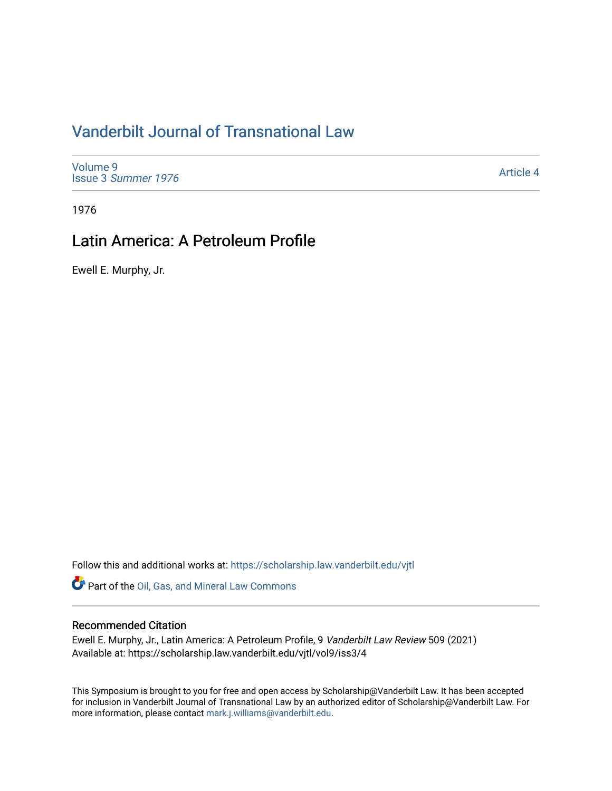# [Vanderbilt Journal of Transnational Law](https://scholarship.law.vanderbilt.edu/vjtl)

[Volume 9](https://scholarship.law.vanderbilt.edu/vjtl/vol9) Issue 3 [Summer 1976](https://scholarship.law.vanderbilt.edu/vjtl/vol9/iss3) 

[Article 4](https://scholarship.law.vanderbilt.edu/vjtl/vol9/iss3/4) 

1976

## Latin America: A Petroleum Profile

Ewell E. Murphy, Jr.

Follow this and additional works at: [https://scholarship.law.vanderbilt.edu/vjtl](https://scholarship.law.vanderbilt.edu/vjtl?utm_source=scholarship.law.vanderbilt.edu%2Fvjtl%2Fvol9%2Fiss3%2F4&utm_medium=PDF&utm_campaign=PDFCoverPages) 

Part of the [Oil, Gas, and Mineral Law Commons](https://network.bepress.com/hgg/discipline/864?utm_source=scholarship.law.vanderbilt.edu%2Fvjtl%2Fvol9%2Fiss3%2F4&utm_medium=PDF&utm_campaign=PDFCoverPages) 

#### Recommended Citation

Ewell E. Murphy, Jr., Latin America: A Petroleum Profile, 9 Vanderbilt Law Review 509 (2021) Available at: https://scholarship.law.vanderbilt.edu/vjtl/vol9/iss3/4

This Symposium is brought to you for free and open access by Scholarship@Vanderbilt Law. It has been accepted for inclusion in Vanderbilt Journal of Transnational Law by an authorized editor of Scholarship@Vanderbilt Law. For more information, please contact [mark.j.williams@vanderbilt.edu](mailto:mark.j.williams@vanderbilt.edu).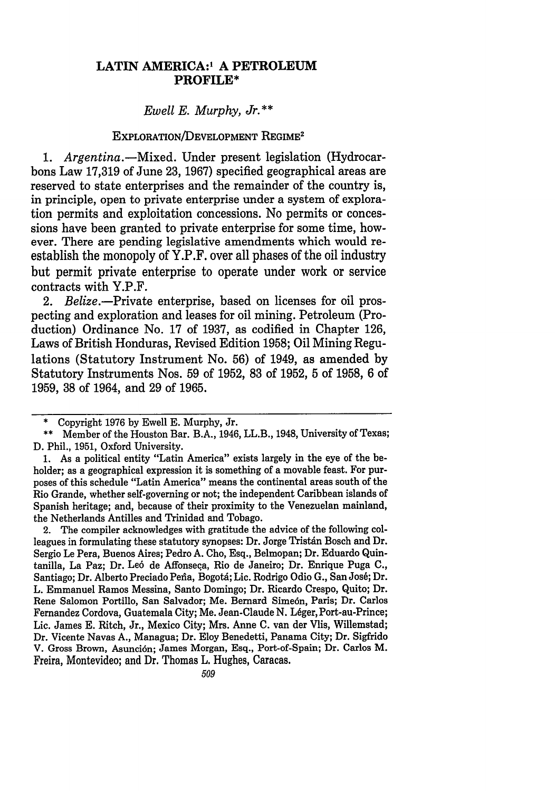#### **LATIN AMERICA:' A PETROLEUM PROFILE\***

*Ewell E. Murphy, Jr.\*\**

#### EXPLORATION/DEVELOPMENT REGIME<sup>2</sup>

*1. Argentina. -Mixed.* Under present legislation (Hydrocarbons Law **17,319** of June **23, 1967)** specified geographical areas are reserved to state enterprises and the remainder of the country is, in principle, open to private enterprise under a system of exploration permits and exploitation concessions. No permits or concessions have been granted to private enterprise for some time, however. There are pending legislative amendments which would reestablish the monopoly of Y.P.F. over all phases of the oil industry but permit private enterprise to operate under work or service contracts with Y.P.F.

2. *Belize.-Private* enterprise, based on licenses for oil prospecting and exploration and leases for oil mining. Petroleum (Production) Ordinance No. **17** of **1937,** as codified in Chapter **126,** Laws of British Honduras, Revised Edition **1958;** Oil Mining Regulations (Statutory Instrument No. **56)** of 1949, as amended **by** Statutory Instruments Nos. **59** of **1952, 83** of **1952, 5** of **1958, 6** of **1959, 38** of 1964, and **29** of **1965.**

**1.** As a political entity "Latin America" exists largely in the eye of the beholder; as a geographical expression it is something of a movable feast. For purposes of this schedule "Latin America" means the continental areas south of the Rio Grande, whether self-governing or not; the independent Caribbean islands of Spanish heritage; and, because of their proximity to the Venezuelan mainland, the Netherlands Antilles and Trinidad and Tobago.

2. The compiler acknowledges with gratitude the advice of the following colleagues in formulating these statutory synopses: Dr. Jorge Tristán Bosch and Dr. Sergio Le Pera, Buenos Aires; Pedro **A.** Cho, Esq., Belmopan; Dr. Eduardo Quintanilla, La Paz; Dr. Le6 de Affonseca, Rio de Janeiro; Dr. Enrique Puga **C.,** Santiago; Dr. Alberto Preciado Peña, Bogotá; Lic. Rodrigo Odio G., San José; Dr. L. Emmanuel Ramos Messina, Santo Domingo; Dr. Ricardo Crespo, Quito; Dr. Rene Salomon Portillo, San Salvador; Me. Bernard Sime6n, Paris; Dr. Carlos Fernandez Cordova, Guatemala City; Me. Jean-Claude N. Léger, Port-au-Prince; Lic. James **E.** Ritch, Jr., Mexico City; Mrs. Anne **C.** van der **Vlis,** Willemstad; Dr. Vicente Navas **A.,** Managua; Dr. Eloy Benedetti, Panama City; Dr. Sigfrido V. Gross Brown, Asunción; James Morgan, Esq., Port-of-Spain; Dr. Carlos M. Freira, Montevideo; and Dr. Thomas L. Hughes, Caracas.

**<sup>\*</sup>** Copyright **1976 by** Ewell **E.** Murphy, Jr.

**<sup>\*\*</sup>** Member of the Houston Bar. B.A., 1946, LL.B., 1948, University of Texas; **D.** Phil., **1951,** Oxford University.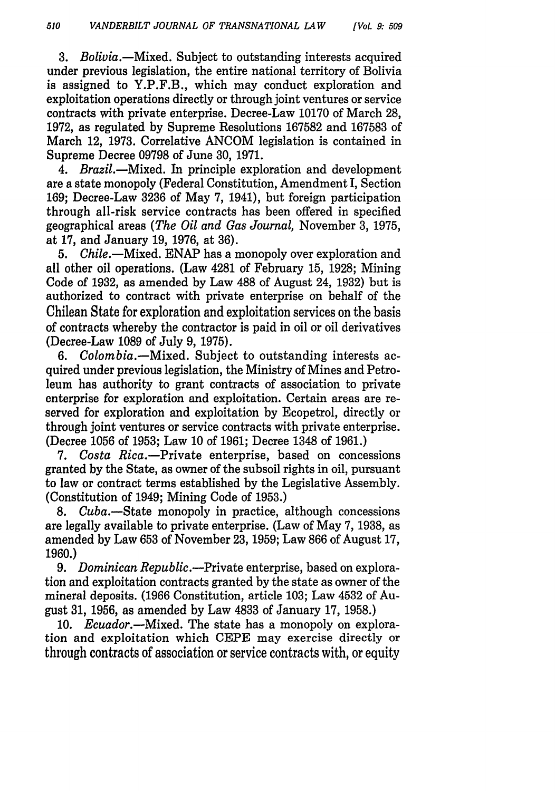3. Bolivia.—Mixed. Subject to outstanding interests acquired under previous legislation, the entire national territory of Bolivia is assigned to Y.P.F.B., which may conduct exploration and exploitation operations directly or through joint ventures or service contracts with private enterprise. Decree-Law 10170 of March 28, 1972, as regulated by Supreme Resolutions 167582 and 167583 of March 12, 1973. Correlative ANCOM legislation is contained in Supreme Decree 09798 of June 30, 1971.

*4. Brazil.-Mixed.* In principle exploration and development are a state monopoly (Federal Constitution, Amendment I, Section 169; Decree-Law 3236 of May 7, 1941), but foreign participation through all-risk service contracts has been offered in specified geographical areas *(The Oil and Gas Journal,* November 3, 1975, at 17, and January 19, 1976, at 36).

5. *Chile.-Mixed.* ENAP has a monopoly over exploration and all other oil operations. (Law 4281 of February 15, 1928; Mining Code of 1932, as amended by Law 488 of August 24, 1932) but is authorized to contract with private enterprise on behalf of the Chilean State for exploration and exploitation services on the basis of contracts whereby the contractor is paid in oil or oil derivatives (Decree-Law 1089 of July 9, 1975).

6. *Colombia.-Mixed.* Subject to outstanding interests acquired under previous legislation, the Ministry of Mines and Petroleum has authority to grant contracts of association to private enterprise for exploration and exploitation. Certain areas are reserved for exploration and exploitation by Ecopetrol, directly or through joint ventures or service contracts with private enterprise. (Decree 1056 of 1953; Law 10 of 1961; Decree 1348 of 1961.)

*7. Costa* Rica.-Private enterprise, based on concessions granted by the State, as owner of the subsoil rights in oil, pursuant to law or contract terms established by the Legislative Assembly. (Constitution of 1949; Mining Code of 1953.)

8. *Cuba.-State* monopoly in practice, although concessions are legally available to private enterprise. (Law of May 7, 1938, as amended by Law 653 of November 23, 1959; Law 866 of August 17, 1960.)

9. *Dominican Republic.-Private* enterprise, based on exploration and exploitation contracts granted by the state as owner of the mineral deposits. (1966 Constitution, article 103; Law 4532 of August **31,** 1956, as amended by Law 4833 of January 17, 1958.)

10. *Ecuador.-Mixed.* The state has a monopoly on exploration and exploitation which CEPE may exercise directly or through contracts of association or service contracts with, or equity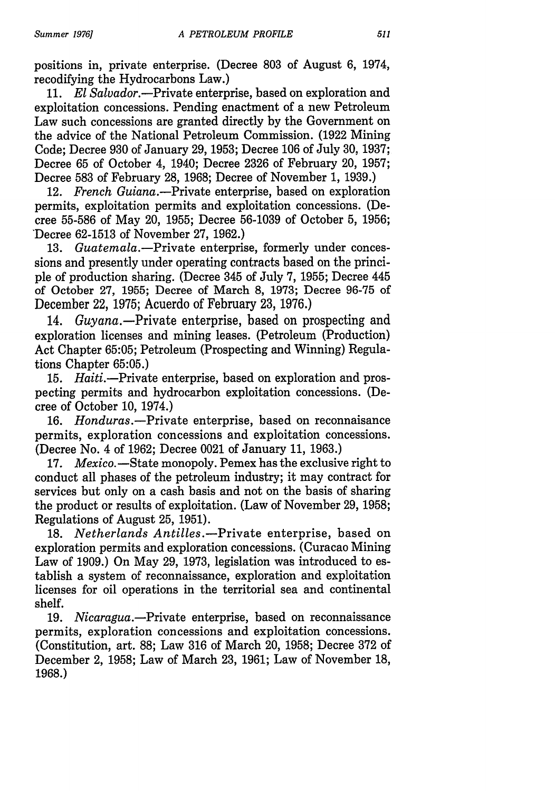positions in, private enterprise. (Decree 803 of August 6, 1974, recodifying the Hydrocarbons Law.)

11. *El Salvador.-Private* enterprise, based on exploration and exploitation concessions. Pending enactment of a new Petroleum Law such concessions are granted directly by the Government on the advice of the National Petroleum Commission. (1922 Mining Code; Decree 930 of January 29, 1953; Decree 106 of July 30, 1937; Decree 65 of October 4, 1940; Decree 2326 of February 20, 1957; Decree 583 of February 28, 1968; Decree of November 1, 1939.)

12. *French Guiana.-Private* enterprise, based on exploration permits, exploitation permits and exploitation concessions. (Decree 55-586 of May 20, 1955; Decree 56-1039 of October 5, 1956; 'Decree 62-1513 of November 27, 1962.)

13. *Guatemala.-Private* enterprise, formerly under concessions and presently under operating contracts based on the principle of production sharing. (Decree 345 of July 7, 1955; Decree 445 of October 27, 1955; Decree of March 8, 1973; Decree 96-75 of December 22, 1975; Acuerdo of February 23, 1976.)

14. Guyana.—Private enterprise, based on prospecting and exploration licenses and mining leases. (Petroleum (Production) Act Chapter 65:05; Petroleum (Prospecting and Winning) Regulations Chapter 65:05.)

15. *Haiti.-Private* enterprise, based on exploration and prospecting permits and hydrocarbon exploitation concessions. (Decree of October 10, 1974.)

16. *Honduras.-Private* enterprise, based on reconnaisance permits, exploration concessions and exploitation concessions. (Decree No. 4 of 1962; Decree 0021 of January 11, 1963.)

17. *Mexico.* - State monopoly. Pemex has the exclusive right to conduct all phases of the petroleum industry; it may contract for services but only on a cash basis and not on the basis of sharing the product or results of exploitation. (Law of November 29, 1958; Regulations of August 25, 1951).

18. *Netherlands Antilles. -Private* enterprise, based on exploration permits and exploration concessions. (Curacao Mining Law of 1909.) On May 29, 1973, legislation was introduced to establish a system of reconnaissance, exploration and exploitation licenses for oil operations in the territorial sea and continental shelf.

19. *Nicaragua.-Private* enterprise, based on reconnaissance permits, exploration concessions and exploitation concessions. (Constitution, art. 88; Law 316 of March 20, 1958; Decree 372 of December 2, 1958; Law of March 23, 1961; Law of November 18, 1968.)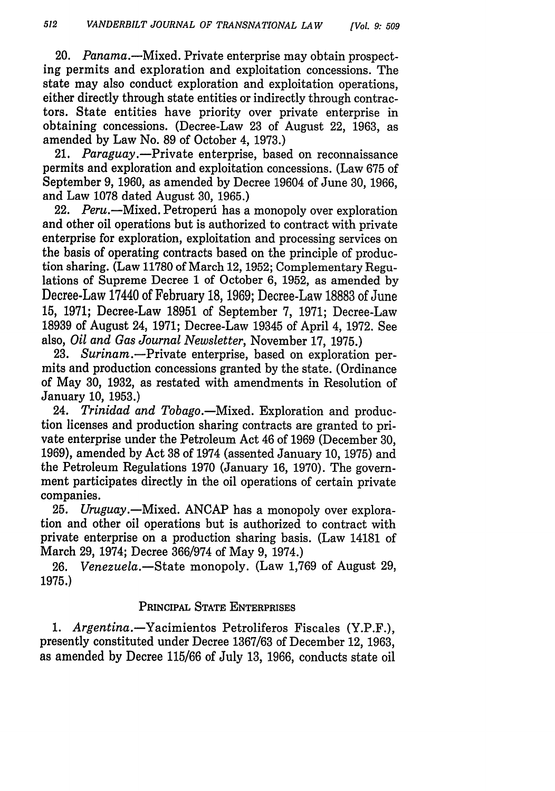20. Panama.—Mixed. Private enterprise may obtain prospecting permits and exploration and exploitation concessions. The state may also conduct exploration and exploitation operations, either directly through state entities or indirectly through contractors. State entities have priority over private enterprise in obtaining concessions. (Decree-Law 23 of August 22, 1963, as amended by Law No. 89 of October 4, 1973.)

21. *Paraguay.-Private* enterprise, based on reconnaissance permits and exploration and exploitation concessions. (Law 675 of September 9, 1960, as amended by Decree 19604 of June 30, 1966, and Law 1078 dated August 30, 1965.)

22. *Peru.-Mixed.* Petroperd has a monopoly over exploration and other oil operations but is authorized to contract with private enterprise for exploration, exploitation and processing services on the basis of operating contracts based on the principle of production sharing. (Law 11780 of March 12, 1952; Complementary Regulations of Supreme Decree 1 of October 6, 1952, as amended by Decree-Law 17440 of February 18, 1969; Decree-Law 18883 of June 15, 1971; Decree-Law 18951 of September 7, 1971; Decree-Law 18939 of August 24, 1971; Decree-Law 19345 of April 4, 1972. See also, *Oil and Gas Journal Newsletter,* November 17, 1975.)

23. Surinam.—Private enterprise, based on exploration permits and production concessions granted by the state. (Ordinance of May 30, 1932, as restated with amendments in Resolution of January 10, 1953.)

24. *Trinidad and Tobago.-Mixed.* Exploration and production licenses and production sharing contracts are granted to private enterprise under the Petroleum Act 46 of 1969 (December 30, 1969), amended by Act 38 of 1974 (assented January 10, 1975) and the Petroleum Regulations 1970 (January 16, 1970). The government participates directly in the oil operations of certain private companies.

25. *Uruguay.-Mixed.* ANCAP has a monopoly over exploration and other oil operations but is authorized to contract with private enterprise on a production sharing basis. (Law 14181 of March 29, 1974; Decree 366/974 of May 9, 1974.)

26. *Venezuela.-State* monopoly. (Law 1,769 of August 29, 1975.)

### PRINCIPAL STATE ENTERPRISES

1. Argentina.-Yacimientos Petroliferos Fiscales (Y.P.F.), presently constituted under Decree **1367/63** of December 12, **1963,** as amended **by** Decree **115/66** of July **13, 1966,** conducts state oil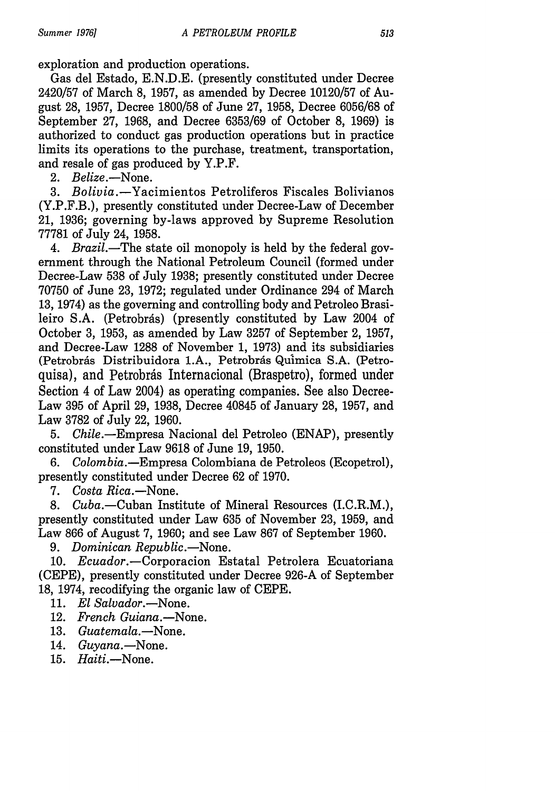exploration and production operations.

Gas del Estado, E.N.D.E. (presently constituted under Decree 2420/57 of March 8, 1957, as amended by Decree 10120/57 of August 28, 1957, Decree 1800/58 of June 27, 1958, Decree 6056/68 of September 27, 1968, and Decree 6353/69 of October 8, 1969) is authorized to conduct gas production operations but in practice limits its operations to the purchase, treatment, transportation, and resale of gas produced by Y.P.F.

2. *Belize.-None.*

3. Bolivia.-Yacimientos Petroliferos Fiscales Bolivianos (Y.P.F.B.), presently constituted under Decree-Law of December 21, 1936; governing by-laws approved by Supreme Resolution 77781 of July 24, 1958.

4. Brazil.—The state oil monopoly is held by the federal government through the National Petroleum Council (formed under Decree-Law 538 of July 1938; presently constituted under Decree 70750 of June 23, 1972; regulated under Ordinance 294 of March 13, 1974) as the governing and controlling body and Petroleo Brasileiro S.A. (Petrobrás) (presently constituted by Law 2004 of October 3, 1953, as amended by Law 3257 of September 2, 1957, and Decree-Law 1288 of November 1, 1973) and its subsidiaries (Petrobrás Distribuidora 1.A., Petrobrás Química S.A. (Petroquisa), and Petrobrás Internacional (Braspetro), formed under Section 4 of Law 2004) as operating companies. See also Decree-Law 395 of April 29, 1938, Decree 40845 of January 28, 1957, and Law 3782 of July 22, 1960.

5. *Chile.-Empresa* Nacional del Petroleo (ENAP), presently constituted under Law 9618 of June 19, 1950.

6. *Colombia.-Empresa* Colombiana de Petroleos (Ecopetrol), presently constituted under Decree 62 of 1970.

7. *Costa Rica.-None.*

8. *Cuba.-Cuban* Institute of Mineral Resources (I.C.R.M.), presently constituted under Law 635 of November 23, 1959, and Law 866 of August 7, 1960; and see Law 867 of September 1960.

9. *Dominican Republic.*—None.

10. Ecuador.-Corporacion Estatal Petrolera Ecuatoriana (CEPE), presently constituted under Decree 926-A of September 18, 1974, recodifying the organic law of CEPE.

- 11. *El Salvador.*—None.
- 12. *French Guiana.-None.*
- 13. *Guatemala.-None.*
- 14. Guyana.-None.
- 15. *Haiti.-None.*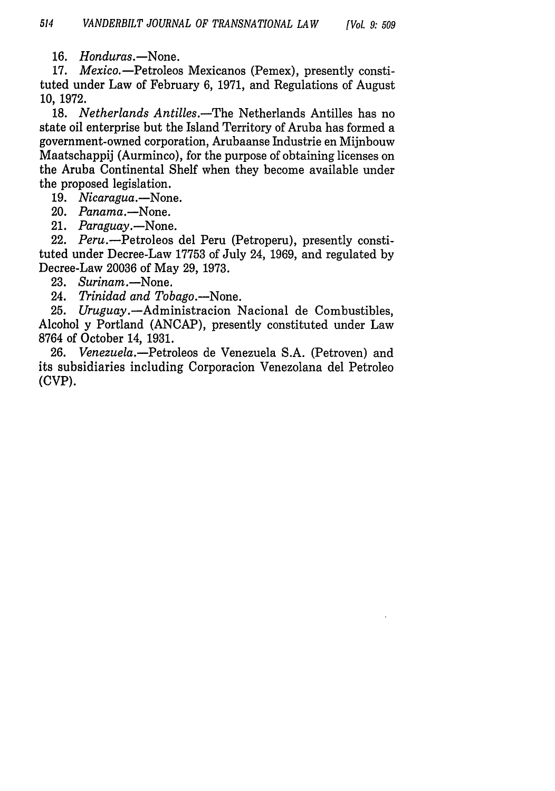16. *Honduras.*-None.

17. *Mexico.* - Petroleos Mexicanos (Pemex), presently constituted under Law of February 6, 1971, and Regulations of August 10, 1972.

18. *Netherlands Antilles.-The* Netherlands Antilles has no state oil enterprise but the Island Territory of Aruba has formed a government-owned corporation, Arubaanse Industrie en Mijnbouw Maatschappij (Aurminco), for the purpose of obtaining licenses on the Aruba Continental Shelf when they become available under the proposed legislation.

19. *Nicaragua.*-None.

- 20. *Panama.-None.*
- 21. *Paraguay.*—None.

22. Peru.--Petroleos del Peru (Petroperu), presently constituted under Decree-Law 17753 of July 24, 1969, and regulated by Decree-Law 20036 of May 29, 1973.

- 23. Surinam.-None.
- 24. *Trinidad and Tobago.-None.*

25. Uruguay. - Administracion Nacional de Combustibles, Alcohol y Portland (ANCAP), presently constituted under Law 8764 of October 14, 1931.

26. *Venezuela.-Petroleos* de Venezuela S.A. (Petroven) and its subsidiaries including Corporacion Venezolana del Petroleo (CVP).